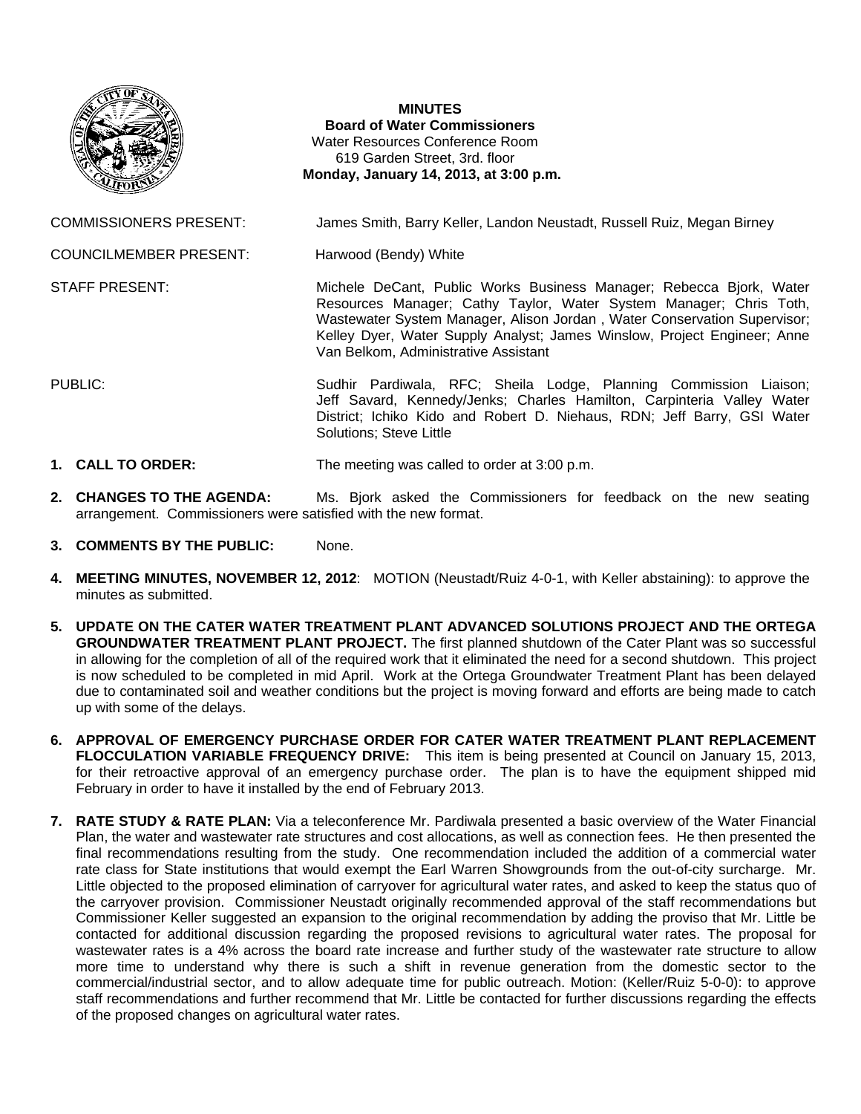

## **MINUTES Board of Water Commissioners**  Water Resources Conference Room 619 Garden Street, 3rd. floor  **Monday, January 14, 2013, at 3:00 p.m.**

COMMISSIONERS PRESENT: James Smith, Barry Keller, Landon Neustadt, Russell Ruiz, Megan Birney

COUNCILMEMBER PRESENT: Harwood (Bendy) White

STAFF PRESENT: Michele DeCant, Public Works Business Manager; Rebecca Bjork, Water Resources Manager; Cathy Taylor, Water System Manager; Chris Toth, Wastewater System Manager, Alison Jordan , Water Conservation Supervisor; Kelley Dyer, Water Supply Analyst; James Winslow, Project Engineer; Anne Van Belkom, Administrative Assistant

PUBLIC: Sudhir Pardiwala, RFC; Sheila Lodge, Planning Commission Liaison; Jeff Savard, Kennedy/Jenks; Charles Hamilton, Carpinteria Valley Water District; Ichiko Kido and Robert D. Niehaus, RDN; Jeff Barry, GSI Water Solutions; Steve Little

- **1. CALL TO ORDER:** The meeting was called to order at 3:00 p.m.
- **2. CHANGES TO THE AGENDA:** Ms. Bjork asked the Commissioners for feedback on the new seating arrangement. Commissioners were satisfied with the new format.
- **3. COMMENTS BY THE PUBLIC:** None.
- **4. MEETING MINUTES, NOVEMBER 12, 2012**: MOTION (Neustadt/Ruiz 4-0-1, with Keller abstaining): to approve the minutes as submitted.
- **5. UPDATE ON THE CATER WATER TREATMENT PLANT ADVANCED SOLUTIONS PROJECT AND THE ORTEGA GROUNDWATER TREATMENT PLANT PROJECT.** The first planned shutdown of the Cater Plant was so successful in allowing for the completion of all of the required work that it eliminated the need for a second shutdown. This project is now scheduled to be completed in mid April. Work at the Ortega Groundwater Treatment Plant has been delayed due to contaminated soil and weather conditions but the project is moving forward and efforts are being made to catch up with some of the delays.
- **6. APPROVAL OF EMERGENCY PURCHASE ORDER FOR CATER WATER TREATMENT PLANT REPLACEMENT FLOCCULATION VARIABLE FREQUENCY DRIVE:** This item is being presented at Council on January 15, 2013, for their retroactive approval of an emergency purchase order. The plan is to have the equipment shipped mid February in order to have it installed by the end of February 2013.
- **7. RATE STUDY & RATE PLAN:** Via a teleconference Mr. Pardiwala presented a basic overview of the Water Financial Plan, the water and wastewater rate structures and cost allocations, as well as connection fees. He then presented the final recommendations resulting from the study. One recommendation included the addition of a commercial water rate class for State institutions that would exempt the Earl Warren Showgrounds from the out-of-city surcharge. Mr. Little objected to the proposed elimination of carryover for agricultural water rates, and asked to keep the status quo of the carryover provision. Commissioner Neustadt originally recommended approval of the staff recommendations but Commissioner Keller suggested an expansion to the original recommendation by adding the proviso that Mr. Little be contacted for additional discussion regarding the proposed revisions to agricultural water rates. The proposal for wastewater rates is a 4% across the board rate increase and further study of the wastewater rate structure to allow more time to understand why there is such a shift in revenue generation from the domestic sector to the commercial/industrial sector, and to allow adequate time for public outreach. Motion: (Keller/Ruiz 5-0-0): to approve staff recommendations and further recommend that Mr. Little be contacted for further discussions regarding the effects of the proposed changes on agricultural water rates.